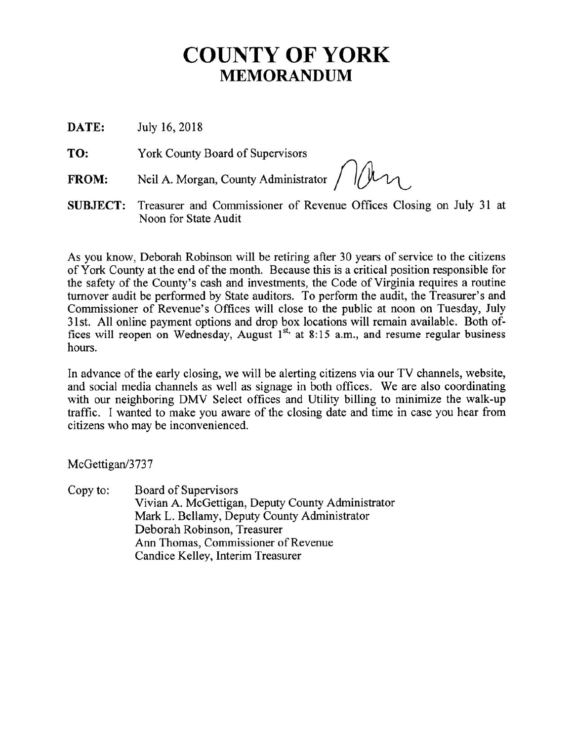# **COUNTY OF YORK MEMORANDUM**

DATE: July 16, 2018

TO: York County Board of Supervisors

Neil A. Morgan, County Administrator / 1/1 **FROM:** 

Treasurer and Commissioner of Revenue Offices Closing on July 31 at **SUBJECT:** Noon for State Audit

As you know, Deborah Robinson will be retiring after 30 years of service to the citizens of York County at the end of the month. Because this is a critical position responsible for the safety of the County's cash and investments, the Code of Virginia requires a routine turnover audit be performed by State auditors. To perform the audit, the Treasurer's and Commissioner of Revenue's Offices will close to the public at noon on Tuesday, July 31st. All online payment options and drop box locations will remain available. Both of-<br>fices will reopen on Wednesday, August  $1<sup>st</sup>$ , at 8:15 a.m., and resume regular business hours.

In advance of the early closing, we will be alerting citizens via our TV channels, website, and social media channels as well as signage in both offices. We are also coordinating with our neighboring DMV Select offices and Utility billing to minimize the walk-up traffic. I wanted to make you aware of the closing date and time in case you hear from citizens who may be inconvenienced.

McGettigan/3737

Copy to: Board of Supervisors Vivian A. McGettigan, Deputy County Administrator Mark L. Bellamy, Deputy County Administrator Deborah Robinson, Treasurer Ann Thomas, Commissioner of Revenue Candice Kelley, Interim Treasurer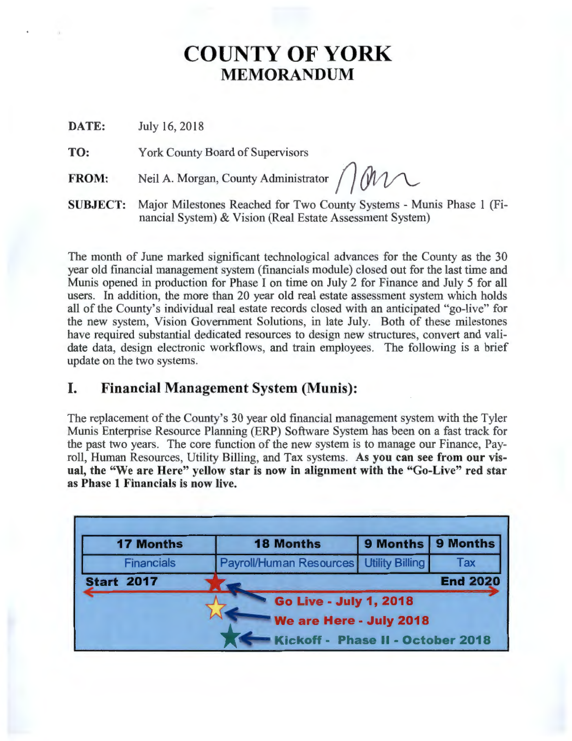## **COUNTY OF YORK**  MEMORANDUM

DATE: July 16, 2018

TO: York County Board of Supervisors

FROM: Neil A. Morgan, County Administrator *()* MV

SUBJECT: Major Milestones Reached for Two County Systems - Munis Phase 1 (Financial System) & Vision (Real Estate Assessment System)

The month of June marked significant technological advances for the County as the 30 year old fmancial management system ( fmancials module) closed out for the last time and Munis opened in production for Phase I on time on July 2 for Finance and July 5 for all users. In addition, the more than 20 year old real estate assessment system which holds all of the County's individual real estate records closed with an anticipated "go-live" for the new system, Vision Government Solutions, in late July. Both of these milestones have required substantial dedicated resources to design new structures, convert and validate data, design electronic workflows, and train employees. The following is a brief update on the two systems.

## I. Financial Management System (Munis):

The replacement of the County's 30 year old financial management system with the Tyler Munis Enterprise Resource Planning (ERP) Software System has been on a fast track for the past two years. The core function of the new system is to manage our Finance, Payroll, Human Resources, Utility Billing, and Tax systems. As you can see from our visual, the "We are Here" yellow star is now in alignment with the "Go-Live" red star as Phase 1 Financials is now live.

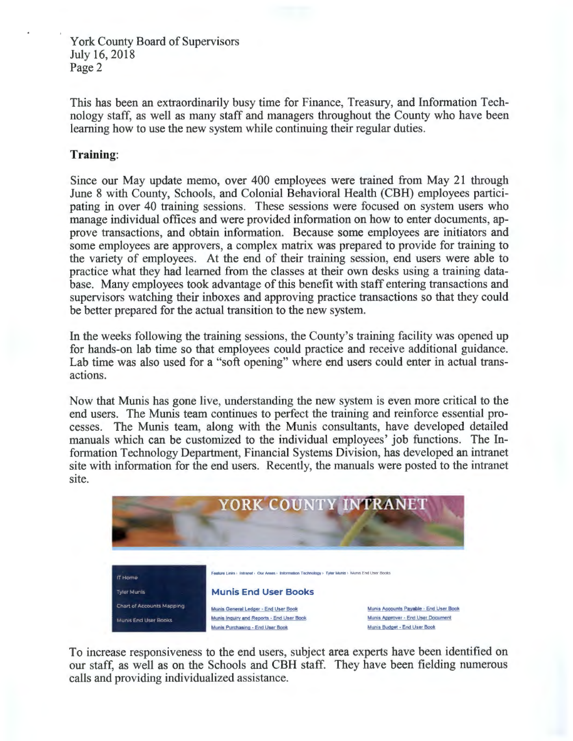York County Board of Supervisors July 16, 2018 Page 2

This has been an extraordinarily busy time for Finance, Treasury, and Information Technology staff, as well as many staff and managers throughout the County who have been learning how to use the new system while continuing their regular duties.

#### Training:

Since our May update memo, over 400 employees were trained from May 21 through June 8 with County, Schools, and Colonial Behavioral Health (CBH) employees participating in over 40 training sessions. These sessions were focused on system users who manage individual offices and were provided information on how to enter documents, approve transactions, and obtain information. Because some employees are initiators and some employees are approvers, a complex matrix was prepared to provide for training to the variety of employees. At the end of their training session, end users were able to practice what they had learned from the classes at their own desks using a training database. Many employees took advantage of this benefit with staff entering transactions and supervisors watching their inboxes and approving practice transactions so that they could be better prepared for the actual transition to the new system.

In the weeks following the training sessions, the County's training facility was opened up for hands-on lab time so that employees could practice and receive additional guidance. Lab time was also used for a "soft opening" where end users could enter in actual transactions.

Now that Munis has gone live, understanding the new system is even more critical to the end users. The Munis team continues to perfect the training and reinforce essential processes. The Munis team, along with the Munis consultants, have developed detailed manuals which can be customized to the individual employees' job functions. The Information Technology Department, Financial Systems Division, has developed an intranet site with information for the end users. Recently, the manuals were posted to the intranet site.



To increase responsiveness to the end users, subject area experts have been identified on our staff, as well as on the Schools and CBH staff. They have been fielding numerous calls and providing individualized assistance.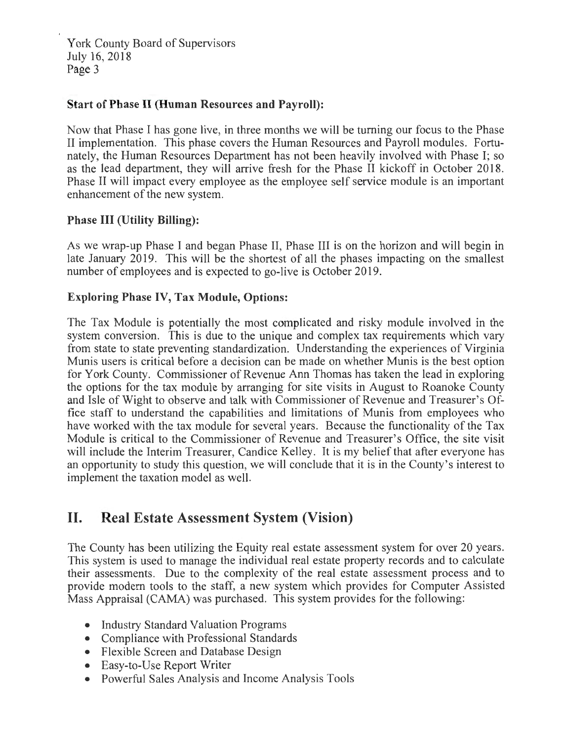York County Board of Supervisors July16, 2018 Page 3

#### **Start of Phase II (Human Resources and Payroll):**

Now that Phase I has gone live, in three months we will be turning our focus to the Phase II implementation. This phase covers the Human Resources and Payroll modules. Fortunately, the Human Resources Department has not been heavily involved with Phase I; so as the lead department, they will arrive fresh for the Phase II kickoff in October 2018. Phase II will impact every employee as the employee self service module is an important enhancement of the new system.

#### **Phase III (Utility Billing):**

As we wrap-up Phase I and began Phase II, Phase III is on the horizon and will begin in late January 2019. This will be the shortest of all the phases impacting on the smallest number of employees and is expected to go-live is October 2019.

#### **Exploring Phase IV, Tax Module, Options:**

The Tax Module is potentially the most complicated and risky module involved in the system conversion. This is due to the unique and complex tax requirements which vary from state to state preventing standardization. Understanding the experiences of Virginia Munis users is critical before a decision can be made on whether Munis is the best option for York County. Commissioner of Revenue Ann Thomas has taken the lead in exploring the options for the tax module by arranging for site visits in August to Roanoke County and Isle of Wight to observe and talk with Commissioner of Revenue and Treasurer's Office staff to understand the capabilities and limitations of Munis from employees who have worked with the tax module for several years. Because the functionality of the Tax Module is critical to the Commissioner of Revenue and Treasurer's Office, the site visit will include the Interim Treasurer, Candice Kelley. It is my belief that after everyone has an opportunity to study this question, we will conclude that it is in the County's interest to implement the taxation model as well.

## **II. Real Estate Assessment System (Vision)**

The County has been utilizing the Equity real estate assessment system for over 20 years. This system is used to manage the individual real estate property records and to calculate their assessments. Due to the complexity of the real estate assessment process and to provide modern tools to the staff, a new system which provides for Computer Assisted Mass Appraisal (CAMA) was purchased. This system provides for the following:

- Industry Standard Valuation Programs
- Compliance with Professional Standards
- Flexible Screen and Database Design
- Easy-to-Use Report Writer
- Powerful Sales Analysis and Income Analysis Tools